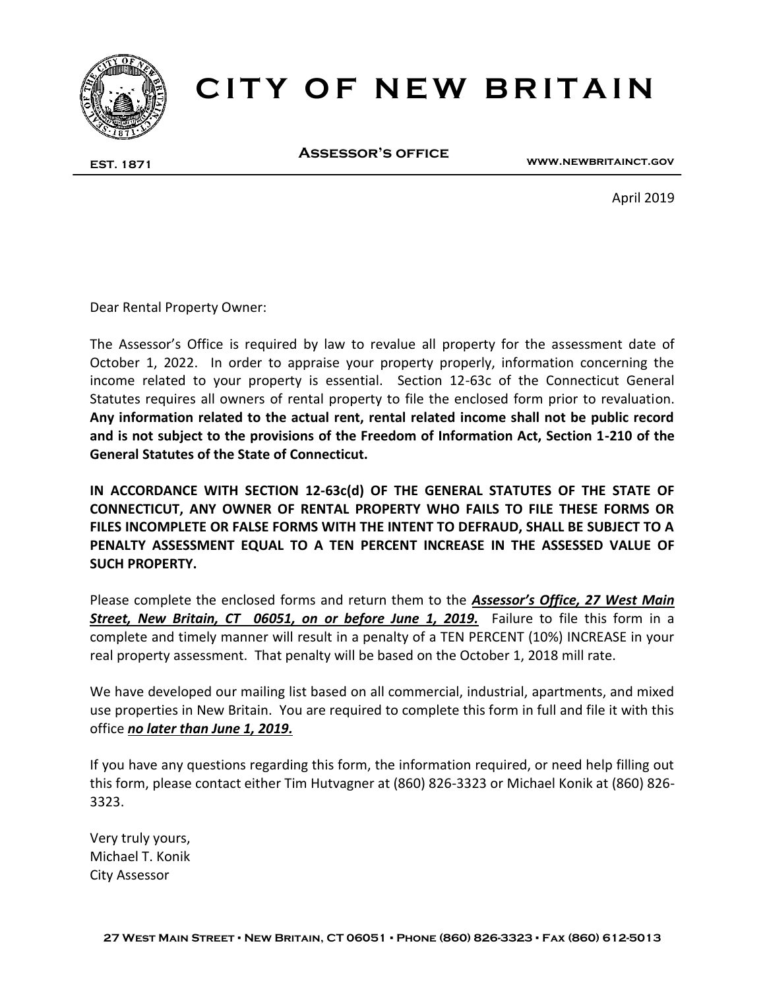

# **CITY OF NEW BRITAIN**

**EST. 1871**

**Assessor's office**

**www.newbritainct.gov**

April 2019

Dear Rental Property Owner:

The Assessor's Office is required by law to revalue all property for the assessment date of October 1, 2022. In order to appraise your property properly, information concerning the income related to your property is essential. Section 12-63c of the Connecticut General Statutes requires all owners of rental property to file the enclosed form prior to revaluation. **Any information related to the actual rent, rental related income shall not be public record and is not subject to the provisions of the Freedom of Information Act, Section 1-210 of the General Statutes of the State of Connecticut.**

**IN ACCORDANCE WITH SECTION 12-63c(d) OF THE GENERAL STATUTES OF THE STATE OF CONNECTICUT, ANY OWNER OF RENTAL PROPERTY WHO FAILS TO FILE THESE FORMS OR FILES INCOMPLETE OR FALSE FORMS WITH THE INTENT TO DEFRAUD, SHALL BE SUBJECT TO A PENALTY ASSESSMENT EQUAL TO A TEN PERCENT INCREASE IN THE ASSESSED VALUE OF SUCH PROPERTY.** 

Please complete the enclosed forms and return them to the *Assessor's Office, 27 West Main Street, New Britain, CT 06051, on or before June 1, 2019.* Failure to file this form in a complete and timely manner will result in a penalty of a TEN PERCENT (10%) INCREASE in your real property assessment. That penalty will be based on the October 1, 2018 mill rate.

We have developed our mailing list based on all commercial, industrial, apartments, and mixed use properties in New Britain. You are required to complete this form in full and file it with this office *no later than June 1, 2019.*

If you have any questions regarding this form, the information required, or need help filling out this form, please contact either Tim Hutvagner at (860) 826-3323 or Michael Konik at (860) 826- 3323.

Very truly yours, Michael T. Konik City Assessor